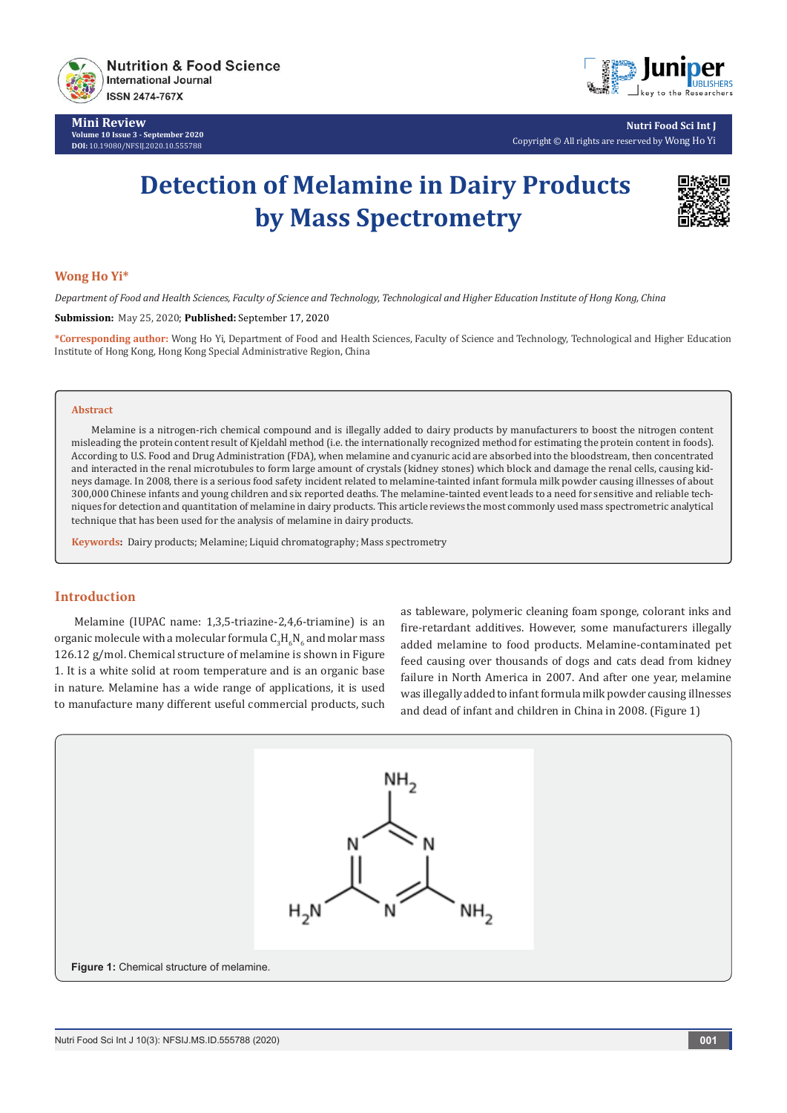

**Mini Review Volume 10 Issue 3 - September 2020 DOI:** [10.19080/NFSIJ.2020.10.5557](http://dx.doi.org/10.19080/NFSIJ.2020.10.555788)88



**Nutri Food Sci Int J** Copyright © All rights are reserved by Wong Ho Yi

# **Detection of Melamine in Dairy Products by Mass Spectrometry**



### **Wong Ho Yi\***

*Department of Food and Health Sciences, Faculty of Science and Technology, Technological and Higher Education Institute of Hong Kong, China* 

**Submission:** May 25, 2020; **Published:** September 17, 2020

**\*Corresponding author:** Wong Ho Yi, Department of Food and Health Sciences, Faculty of Science and Technology, Technological and Higher Education Institute of Hong Kong, Hong Kong Special Administrative Region, China

#### **Abstract**

Melamine is a nitrogen-rich chemical compound and is illegally added to dairy products by manufacturers to boost the nitrogen content misleading the protein content result of Kjeldahl method (i.e. the internationally recognized method for estimating the protein content in foods). According to U.S. Food and Drug Administration (FDA), when melamine and cyanuric acid are absorbed into the bloodstream, then concentrated and interacted in the renal microtubules to form large amount of crystals (kidney stones) which block and damage the renal cells, causing kidneys damage. In 2008, there is a serious food safety incident related to melamine-tainted infant formula milk powder causing illnesses of about 300,000 Chinese infants and young children and six reported deaths. The melamine-tainted event leads to a need for sensitive and reliable techniques for detection and quantitation of melamine in dairy products. This article reviews the most commonly used mass spectrometric analytical technique that has been used for the analysis of melamine in dairy products.

**Keywords:** Dairy products; Melamine; Liquid chromatography; Mass spectrometry

### **Introduction**

Melamine (IUPAC name: 1,3,5-triazine-2,4,6-triamine) is an organic molecule with a molecular formula  $\mathsf{C}_3\mathsf{H}_6\mathsf{N}_6$  and molar mass 126.12 g/mol. Chemical structure of melamine is shown in Figure 1. It is a white solid at room temperature and is an organic base in nature. Melamine has a wide range of applications, it is used to manufacture many different useful commercial products, such as tableware, polymeric cleaning foam sponge, colorant inks and fire-retardant additives. However, some manufacturers illegally added melamine to food products. Melamine-contaminated pet feed causing over thousands of dogs and cats dead from kidney failure in North America in 2007. And after one year, melamine was illegally added to infant formula milk powder causing illnesses and dead of infant and children in China in 2008. (Figure 1)

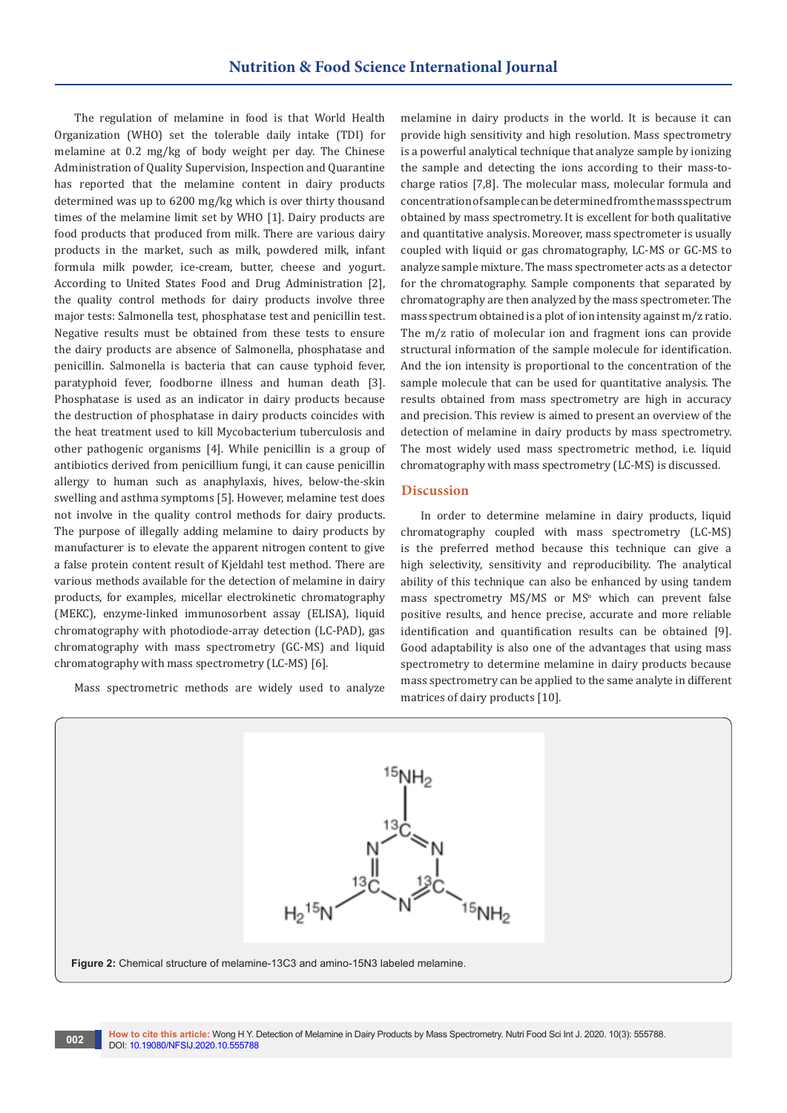The regulation of melamine in food is that World Health Organization (WHO) set the tolerable daily intake (TDI) for melamine at 0.2 mg/kg of body weight per day. The Chinese Administration of Quality Supervision, Inspection and Quarantine has reported that the melamine content in dairy products determined was up to 6200 mg/kg which is over thirty thousand times of the melamine limit set by WHO [1]. Dairy products are food products that produced from milk. There are various dairy products in the market, such as milk, powdered milk, infant formula milk powder, ice-cream, butter, cheese and yogurt. According to United States Food and Drug Administration [2], the quality control methods for dairy products involve three major tests: Salmonella test, phosphatase test and penicillin test. Negative results must be obtained from these tests to ensure the dairy products are absence of Salmonella, phosphatase and penicillin. Salmonella is bacteria that can cause typhoid fever, paratyphoid fever, foodborne illness and human death [3]. Phosphatase is used as an indicator in dairy products because the destruction of phosphatase in dairy products coincides with the heat treatment used to kill Mycobacterium tuberculosis and other pathogenic organisms [4]. While penicillin is a group of antibiotics derived from penicillium fungi, it can cause penicillin allergy to human such as anaphylaxis, hives, below-the-skin swelling and asthma symptoms [5]. However, melamine test does not involve in the quality control methods for dairy products. The purpose of illegally adding melamine to dairy products by manufacturer is to elevate the apparent nitrogen content to give a false protein content result of Kjeldahl test method. There are various methods available for the detection of melamine in dairy products, for examples, micellar electrokinetic chromatography (MEKC), enzyme-linked immunosorbent assay (ELISA), liquid chromatography with photodiode-array detection (LC-PAD), gas chromatography with mass spectrometry (GC-MS) and liquid chromatography with mass spectrometry (LC-MS) [6].

Mass spectrometric methods are widely used to analyze

melamine in dairy products in the world. It is because it can provide high sensitivity and high resolution. Mass spectrometry is a powerful analytical technique that analyze sample by ionizing the sample and detecting the ions according to their mass-tocharge ratios [7,8]. The molecular mass, molecular formula and concentration of sample can be determined from the mass spectrum obtained by mass spectrometry. It is excellent for both qualitative and quantitative analysis. Moreover, mass spectrometer is usually coupled with liquid or gas chromatography, LC-MS or GC-MS to analyze sample mixture. The mass spectrometer acts as a detector for the chromatography. Sample components that separated by chromatography are then analyzed by the mass spectrometer. The mass spectrum obtained is a plot of ion intensity against m/z ratio. The m/z ratio of molecular ion and fragment ions can provide structural information of the sample molecule for identification. And the ion intensity is proportional to the concentration of the sample molecule that can be used for quantitative analysis. The results obtained from mass spectrometry are high in accuracy and precision. This review is aimed to present an overview of the detection of melamine in dairy products by mass spectrometry. The most widely used mass spectrometric method, i.e. liquid chromatography with mass spectrometry (LC-MS) is discussed.

## **Discussion**

In order to determine melamine in dairy products, liquid chromatography coupled with mass spectrometry (LC-MS) is the preferred method because this technique can give a high selectivity, sensitivity and reproducibility. The analytical ability of this technique can also be enhanced by using tandem mass spectrometry  $MS/MS$  or  $MS<sup>n</sup>$  which can prevent false positive results, and hence precise, accurate and more reliable identification and quantification results can be obtained [9]. Good adaptability is also one of the advantages that using mass spectrometry to determine melamine in dairy products because mass spectrometry can be applied to the same analyte in different matrices of dairy products [10].

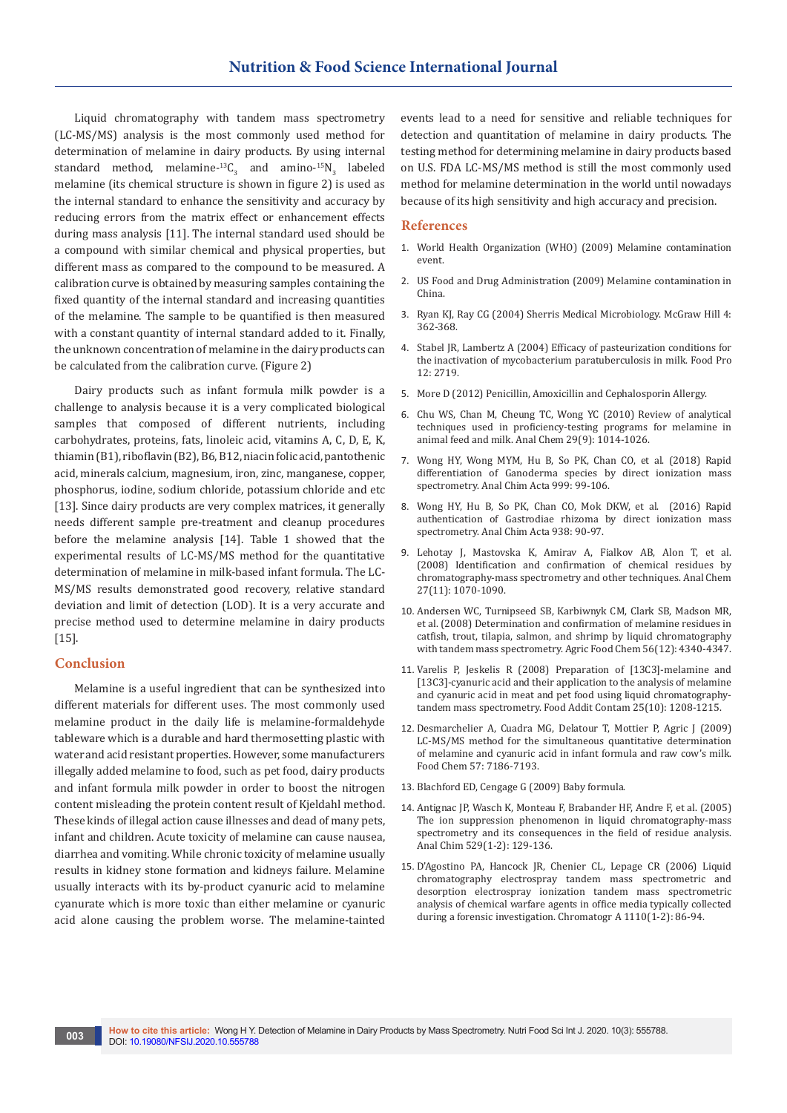Liquid chromatography with tandem mass spectrometry (LC-MS/MS) analysis is the most commonly used method for determination of melamine in dairy products. By using internal standard method, melamine- ${}^{13}C_3$  and amino- ${}^{15}N_3$  labeled melamine (its chemical structure is shown in figure 2) is used as the internal standard to enhance the sensitivity and accuracy by reducing errors from the matrix effect or enhancement effects during mass analysis [11]. The internal standard used should be a compound with similar chemical and physical properties, but different mass as compared to the compound to be measured. A calibration curve is obtained by measuring samples containing the fixed quantity of the internal standard and increasing quantities of the melamine. The sample to be quantified is then measured with a constant quantity of internal standard added to it. Finally, the unknown concentration of melamine in the dairy products can be calculated from the calibration curve. (Figure 2)

Dairy products such as infant formula milk powder is a challenge to analysis because it is a very complicated biological samples that composed of different nutrients, including carbohydrates, proteins, fats, linoleic acid, vitamins A, C, D, E, K, thiamin (B1), riboflavin (B2), B6, B12, niacin folic acid, pantothenic acid, minerals calcium, magnesium, iron, zinc, manganese, copper, phosphorus, iodine, sodium chloride, potassium chloride and etc [13]. Since dairy products are very complex matrices, it generally needs different sample pre-treatment and cleanup procedures before the melamine analysis [14]. Table 1 showed that the experimental results of LC-MS/MS method for the quantitative determination of melamine in milk-based infant formula. The LC-MS/MS results demonstrated good recovery, relative standard deviation and limit of detection (LOD). It is a very accurate and precise method used to determine melamine in dairy products [15].

#### **Conclusion**

Melamine is a useful ingredient that can be synthesized into different materials for different uses. The most commonly used melamine product in the daily life is melamine-formaldehyde tableware which is a durable and hard thermosetting plastic with water and acid resistant properties. However, some manufacturers illegally added melamine to food, such as pet food, dairy products and infant formula milk powder in order to boost the nitrogen content misleading the protein content result of Kjeldahl method. These kinds of illegal action cause illnesses and dead of many pets, infant and children. Acute toxicity of melamine can cause nausea, diarrhea and vomiting. While chronic toxicity of melamine usually results in kidney stone formation and kidneys failure. Melamine usually interacts with its by-product cyanuric acid to melamine cyanurate which is more toxic than either melamine or cyanuric acid alone causing the problem worse. The melamine-tainted events lead to a need for sensitive and reliable techniques for detection and quantitation of melamine in dairy products. The testing method for determining melamine in dairy products based on U.S. FDA LC-MS/MS method is still the most commonly used method for melamine determination in the world until nowadays because of its high sensitivity and high accuracy and precision.

### **References**

- 1. World Health Organization (WHO) (2009) Melamine contamination event.
- 2. US Food and Drug Administration (2009) Melamine contamination in China.
- 3. Ryan KJ, Ray CG (2004) Sherris Medical Microbiology. McGraw Hill 4: 362-368.
- 4. Stabel JR, Lambertz A (2004) Efficacy of pasteurization conditions for the inactivation of mycobacterium paratuberculosis in milk. Food Pro 12: 2719.
- 5. More D (2012) Penicillin, Amoxicillin and Cephalosporin Allergy.
- 6. [Chu WS, Chan M, Cheung TC, Wong YC \(2010\) Review of analytical](https://www.sciencedirect.com/science/article/abs/pii/S0165993610001858)  [techniques used in proficiency-testing programs for melamine in](https://www.sciencedirect.com/science/article/abs/pii/S0165993610001858)  [animal feed and milk. Anal Chem 29\(9\): 1014-1026.](https://www.sciencedirect.com/science/article/abs/pii/S0165993610001858)
- 7. Wong HY, Wong MYM, Hu B, So PK, Chan CO, et al. (2018) Rapid differentiation of Ganoderma species by direct ionization mass spectrometry. Anal Chim Acta 999: 99-106.
- 8. [Wong HY, Hu B, So PK, Chan CO, Mok DKW, et al. \(2016\) Rapid](https://www.unboundmedicine.com/medline/citation/27619090/Rapid_authentication_of_Gastrodiae_rhizoma_by_direct_ionization_mass_spectrometry_)  [authentication of Gastrodiae rhizoma by direct ionization mass](https://www.unboundmedicine.com/medline/citation/27619090/Rapid_authentication_of_Gastrodiae_rhizoma_by_direct_ionization_mass_spectrometry_)  [spectrometry. Anal Chim Acta 938: 90-97.](https://www.unboundmedicine.com/medline/citation/27619090/Rapid_authentication_of_Gastrodiae_rhizoma_by_direct_ionization_mass_spectrometry_)
- 9. [Lehotay J, Mastovska K, Amirav A, Fialkov AB, Alon T, et al.](https://www.sciencedirect.com/science/article/abs/pii/S0165993608002173)  [\(2008\) Identification and confirmation of chemical residues by](https://www.sciencedirect.com/science/article/abs/pii/S0165993608002173)  [chromatography-mass spectrometry and other techniques. Anal Chem](https://www.sciencedirect.com/science/article/abs/pii/S0165993608002173)  [27\(11\): 1070-1090.](https://www.sciencedirect.com/science/article/abs/pii/S0165993608002173)
- 10. [Andersen WC, Turnipseed SB, Karbiwnyk CM, Clark SB, Madson MR,](https://pubmed.ncbi.nlm.nih.gov/18494486/)  [et al. \(2008\) Determination and confirmation of melamine residues in](https://pubmed.ncbi.nlm.nih.gov/18494486/)  [catfish, trout, tilapia, salmon, and shrimp by liquid chromatography](https://pubmed.ncbi.nlm.nih.gov/18494486/)  [with tandem mass spectrometry. Agric Food Chem 56\(12\): 4340-4347.](https://pubmed.ncbi.nlm.nih.gov/18494486/)
- 11. [Varelis P, Jeskelis R \(2008\) Preparation of \[13C3\]-melamine and](https://pubmed.ncbi.nlm.nih.gov/18608503/)  [13C3]-cyanuric acid and their application to the analysis of melamine [and cyanuric acid in meat and pet food using liquid chromatography](https://pubmed.ncbi.nlm.nih.gov/18608503/)[tandem mass spectrometry. Food Addit Contam 25\(10\): 1208-1215.](https://pubmed.ncbi.nlm.nih.gov/18608503/)
- 12. Desmarchelier A, Cuadra MG, Delatour T, Mottier P, Agric J (2009) LC-MS/MS method for the simultaneous quantitative determination of melamine and cyanuric acid in infant formula and raw cow's milk. Food Chem 57: 7186-7193.
- 13. Blachford ED, Cengage G (2009) Baby formula.
- 14. [Antignac JP, Wasch K, Monteau F, Brabander HF, Andre F, et al. \(2005\)](https://www.sciencedirect.com/science/article/abs/pii/S0003267004011158)  [The ion suppression phenomenon in liquid chromatography-mass](https://www.sciencedirect.com/science/article/abs/pii/S0003267004011158)  [spectrometry and its consequences in the field of residue analysis.](https://www.sciencedirect.com/science/article/abs/pii/S0003267004011158)  [Anal Chim 529\(1-2\): 129-136.](https://www.sciencedirect.com/science/article/abs/pii/S0003267004011158)
- 15. [D'Agostino PA, Hancock JR, Chenier CL, Lepage CR \(2006\) Liquid](https://pubmed.ncbi.nlm.nih.gov/16480731/)  [chromatography electrospray tandem mass spectrometric and](https://pubmed.ncbi.nlm.nih.gov/16480731/)  [desorption electrospray ionization tandem mass spectrometric](https://pubmed.ncbi.nlm.nih.gov/16480731/)  [analysis of chemical warfare agents in office media typically collected](https://pubmed.ncbi.nlm.nih.gov/16480731/)  [during a forensic investigation. Chromatogr A 1110\(1-2\): 86-94.](https://pubmed.ncbi.nlm.nih.gov/16480731/)